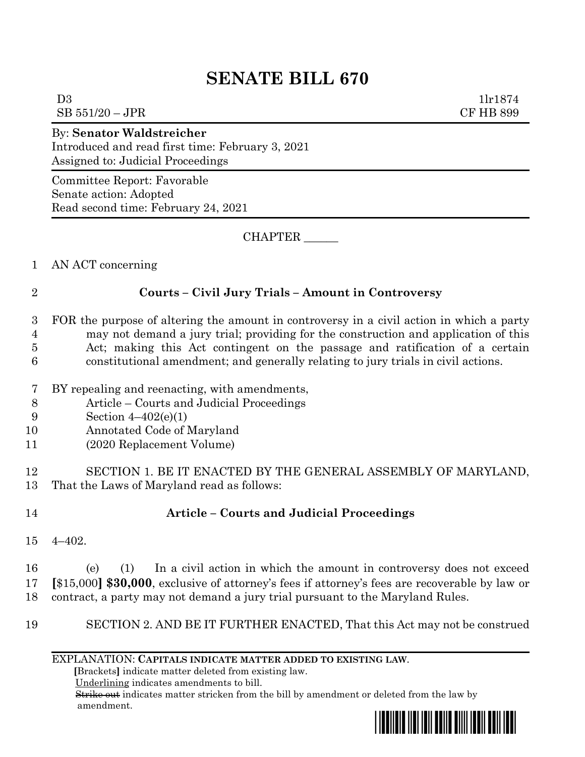# **SENATE BILL 670**

| $SB 551/20 - JPR$                                                                                                         | <b>CF HB 899</b> |
|---------------------------------------------------------------------------------------------------------------------------|------------------|
| <b>By: Senator Waldstreicher</b><br>Introduced and read first time: February 3, 2021<br>Assigned to: Judicial Proceedings |                  |
| Committee Report: Favorable<br>Senate action: Adopted<br>Read second time: February 24, 2021                              |                  |
| CHAPTER                                                                                                                   |                  |
| AN ACT concerning                                                                                                         |                  |

1 AN ACT concerning

#### 2 **Courts – Civil Jury Trials – Amount in Controversy**

#### 3 FOR the purpose of altering the amount in controversy in a civil action in which a party 4 may not demand a jury trial; providing for the construction and application of this 5 Act; making this Act contingent on the passage and ratification of a certain 6 constitutional amendment; and generally relating to jury trials in civil actions.

- 7 BY repealing and reenacting, with amendments,
- 8 Article Courts and Judicial Proceedings
- 9 Section 4–402(e)(1)
- 10 Annotated Code of Maryland
- 11 (2020 Replacement Volume)

### 12 SECTION 1. BE IT ENACTED BY THE GENERAL ASSEMBLY OF MARYLAND, 13 That the Laws of Maryland read as follows:

## 14 **Article – Courts and Judicial Proceedings**

15 4–402.

16 (e) (1) In a civil action in which the amount in controversy does not exceed 17 **[**\$15,000**] \$30,000**, exclusive of attorney's fees if attorney's fees are recoverable by law or 18 contract, a party may not demand a jury trial pursuant to the Maryland Rules.

19 SECTION 2. AND BE IT FURTHER ENACTED, That this Act may not be construed

### EXPLANATION: **CAPITALS INDICATE MATTER ADDED TO EXISTING LAW**.

 **[**Brackets**]** indicate matter deleted from existing law.

Underlining indicates amendments to bill.

 Strike out indicates matter stricken from the bill by amendment or deleted from the law by amendment.



 $D3$  1lr1874